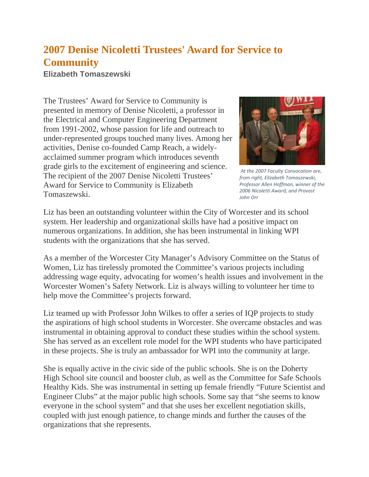## **2007 Denise Nicoletti Trustees' Award for Service to Community**

**Elizabeth Tomaszewski**

The Trustees' Award for Service to Community is presented in memory of Denise Nicoletti, a professor in the Electrical and Computer Engineering Department from 1991-2002, whose passion for life and outreach to under-represented groups touched many lives. Among her activities, Denise co-founded Camp Reach, a widelyacclaimed summer program which introduces seventh grade girls to the excitement of engineering and science. The recipient of the 2007 Denise Nicoletti Trustees' Award for Service to Community is Elizabeth Tomaszewski.



*At the 2007 Faculty Convocation are, from right, Elizabeth Tomaszewski, Professor Allen Hoffman, winner of the 2006 Nicoletti Award, and Provost John Orr*

Liz has been an outstanding volunteer within the City of Worcester and its school system. Her leadership and organizational skills have had a positive impact on numerous organizations. In addition, she has been instrumental in linking WPI students with the organizations that she has served.

As a member of the Worcester City Manager's Advisory Committee on the Status of Women, Liz has tirelessly promoted the Committee's various projects including addressing wage equity, advocating for women's health issues and involvement in the Worcester Women's Safety Network. Liz is always willing to volunteer her time to help move the Committee's projects forward.

Liz teamed up with Professor John Wilkes to offer a series of IQP projects to study the aspirations of high school students in Worcester. She overcame obstacles and was instrumental in obtaining approval to conduct these studies within the school system. She has served as an excellent role model for the WPI students who have participated in these projects. She is truly an ambassador for WPI into the community at large.

She is equally active in the civic side of the public schools. She is on the Doherty High School site council and booster club, as well as the Committee for Safe Schools Healthy Kids. She was instrumental in setting up female friendly "Future Scientist and Engineer Clubs" at the major public high schools. Some say that "she seems to know everyone in the school system" and that she uses her excellent negotiation skills, coupled with just enough patience, to change minds and further the causes of the organizations that she represents.